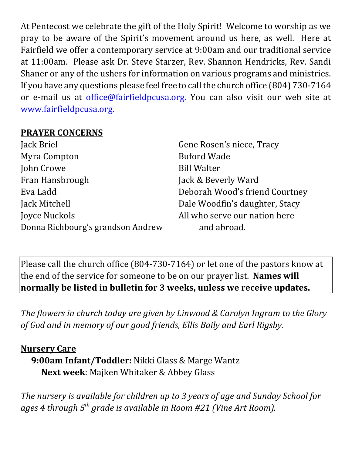At Pentecost we celebrate the gift of the Holy Spirit! Welcome to worship as we pray to be aware of the Spirit's movement around us here, as well. Here at Fairfield we offer a contemporary service at 9:00am and our traditional service at 11:00am. Please ask Dr. Steve Starzer, Rev. Shannon Hendricks, Rev. Sandi Shaner or any of the ushers for information on various programs and ministries. If you have any questions please feel free to call the church office (804) 730-7164 or e-mail us at office@fairfieldpcusa.org. You can also visit our web site at www.fairfieldpcusa.org.

## **PRAYER CONCERNS**

| Jack Briel                             | Gene Rosen's niece, Tracy      |  |
|----------------------------------------|--------------------------------|--|
| Myra Compton                           | <b>Buford Wade</b>             |  |
| John Crowe                             | <b>Bill Walter</b>             |  |
| Fran Hansbrough<br>Jack & Beverly Ward |                                |  |
| Eva Ladd                               | Deborah Wood's friend Courtney |  |
| Jack Mitchell                          | Dale Woodfin's daughter, Stacy |  |
| Joyce Nuckols                          | All who serve our nation here  |  |
| Donna Richbourg's grandson Andrew      | and abroad.                    |  |

Please call the church office (804-730-7164) or let one of the pastors know at the end of the service for someone to be on our prayer list. **Names will normally be listed in bulletin for 3 weeks, unless we receive updates.**

*The flowers in church today are given by Linwood & Carolyn Ingram to the Glory of God and in memory of our good friends, Ellis Baily and Earl Rigsby.*

## **Nursery Care**

**9:00am Infant/Toddler:** Nikki Glass & Marge Wantz **Next week**: Majken Whitaker & Abbey Glass

*The nursery is available for children up to 3 years of age and Sunday School for ages 4 through 5th grade is available in Room #21 (Vine Art Room).*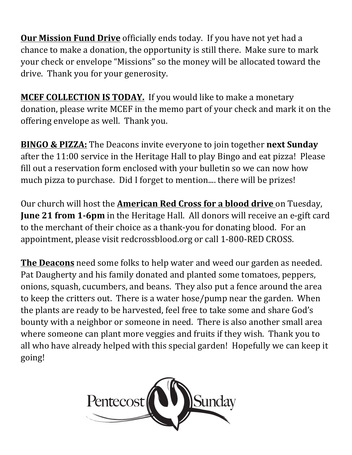**Our Mission Fund Drive** officially ends today. If you have not yet had a chance to make a donation, the opportunity is still there. Make sure to mark your check or envelope "Missions" so the money will be allocated toward the drive. Thank you for your generosity.

**MCEF COLLECTION IS TODAY.** If you would like to make a monetary donation, please write MCEF in the memo part of your check and mark it on the offering envelope as well. Thank you.

**BINGO & PIZZA:** The Deacons invite everyone to join together **next Sunday** after the 11:00 service in the Heritage Hall to play Bingo and eat pizza! Please fill out a reservation form enclosed with your bulletin so we can now how much pizza to purchase. Did I forget to mention.... there will be prizes!

Our church will host the **American Red Cross for a blood drive** on Tuesday, **June 21 from 1‐6pm** in the Heritage Hall. All donors will receive an e-gift card to the merchant of their choice as a thank-you for donating blood. For an appointment, please visit redcrossblood.org or call 1-800-RED CROSS.

**The Deacons** need some folks to help water and weed our garden as needed. Pat Daugherty and his family donated and planted some tomatoes, peppers, onions, squash, cucumbers, and beans. They also put a fence around the area to keep the critters out. There is a water hose/pump near the garden. When the plants are ready to be harvested, feel free to take some and share God's bounty with a neighbor or someone in need. There is also another small area where someone can plant more veggies and fruits if they wish. Thank you to all who have already helped with this special garden! Hopefully we can keep it going!